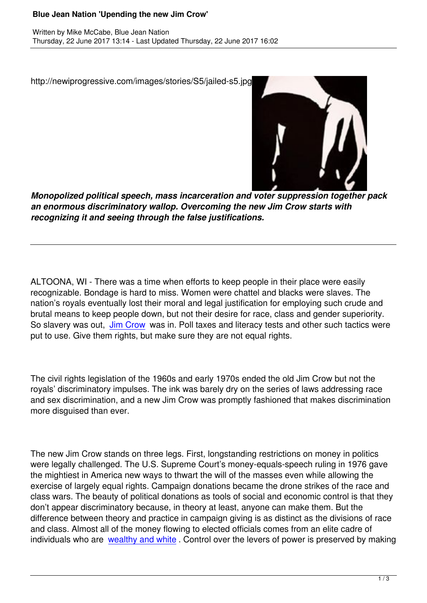

http://newiprogressive.com/images/stories/S5/jailed-s5.jpg

*Monopolized political speech, mass incarceration and voter suppression together pack an enormous discriminatory wallop. Overcoming the new Jim Crow starts with recognizing it and seeing through the false justifications.*

ALTOONA, WI - There was a time when efforts to keep people in their place were easily recognizable. Bondage is hard to miss. Women were chattel and blacks were slaves. The nation's royals eventually lost their moral and legal justification for employing such crude and brutal means to keep people down, but not their desire for race, class and gender superiority. So slavery was out, Jim Crow was in. Poll taxes and literacy tests and other such tactics were put to use. Give them rights, but make sure they are not equal rights.

The civil rights legislation of the 1960s and early 1970s ended the old Jim Crow but not the royals' discriminatory impulses. The ink was barely dry on the series of laws addressing race and sex discrimination, and a new Jim Crow was promptly fashioned that makes discrimination more disguised than ever.

The new Jim Crow stands on three legs. First, longstanding restrictions on money in politics were legally challenged. The U.S. Supreme Court's money-equals-speech ruling in 1976 gave the mightiest in America new ways to thwart the will of the masses even while allowing the exercise of largely equal rights. Campaign donations became the drone strikes of the race and class wars. The beauty of political donations as tools of social and economic control is that they don't appear discriminatory because, in theory at least, anyone can make them. But the difference between theory and practice in campaign giving is as distinct as the divisions of race and class. Almost all of the money flowing to elected officials comes from an elite cadre of individuals who are wealthy and white. Control over the levers of power is preserved by making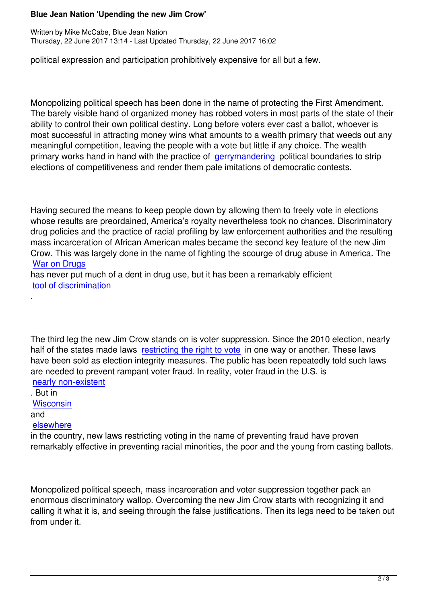political expression and participation prohibitively expensive for all but a few.

Monopolizing political speech has been done in the name of protecting the First Amendment. The barely visible hand of organized money has robbed voters in most parts of the state of their ability to control their own political destiny. Long before voters ever cast a ballot, whoever is most successful in attracting money wins what amounts to a wealth primary that weeds out any meaningful competition, leaving the people with a vote but little if any choice. The wealth primary works hand in hand with the practice of gerrymandering political boundaries to strip elections of competitiveness and render them pale imitations of democratic contests.

Having secured the means to keep people down by allowing them to freely vote in elections whose results are preordained, America's royalty nevertheless took no chances. Discriminatory drug policies and the practice of racial profiling by law enforcement authorities and the resulting mass incarceration of African American males became the second key feature of the new Jim Crow. This was largely done in the name of fighting the scourge of drug abuse in America. The War on Drugs

has never put much of a dent in drug use, but it has been a remarkably efficient tool of discrimination

The third leg the new Jim Crow stands on is voter suppression. Since the 2010 election, nearly half of the states made laws restricting the right to vote in one way or another. These laws have been sold as election integrity measures. The public has been repeatedly told such laws are needed to prevent rampant voter fraud. In reality, voter fraud in the U.S. is nearly non-existent

. But in **Wisconsin** 

[and](https://www.brennancenter.org/issues/voter-fraud) 

[.](http://www.history.com/shows/americas-war-on-drugs)

## elsewhere

[in the coun](http://www.pbs.org/newshour/rundown/wisconsin-voter-id-law/)try, new laws restricting voting in the name of preventing fraud have proven remarkably effective in preventing racial minorities, the poor and the young from casting ballots.

Monopolized political speech, mass incarceration and voter suppression together pack an enormous discriminatory wallop. Overcoming the new Jim Crow starts with recognizing it and calling it what it is, and seeing through the false justifications. Then its legs need to be taken out from under it.